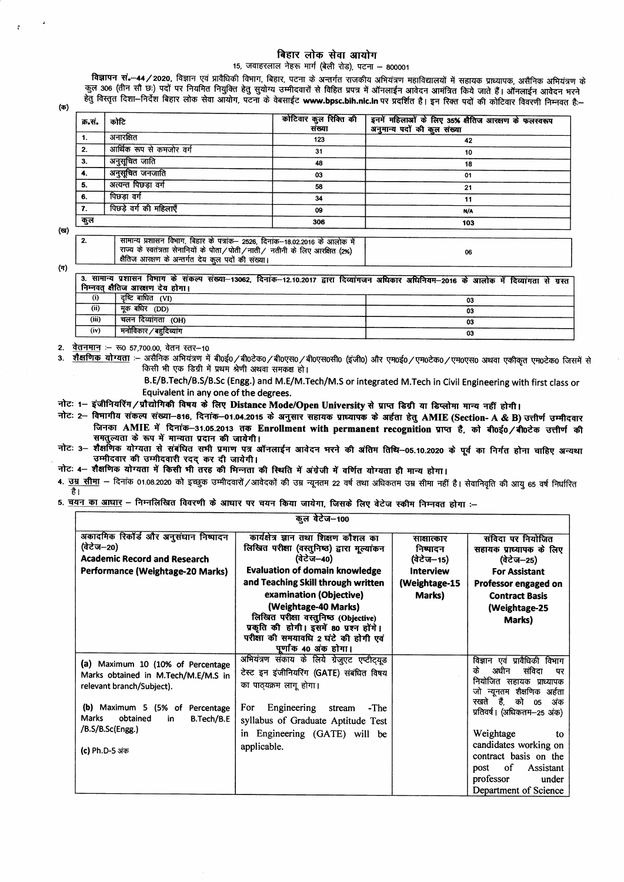## बिहार लोक सेवा आयोग

## 15, जवाहरलाल नेहरू मार्ग (बेली रोड), पटना - 800001

विज्ञापन सं.-44/2020, विज्ञान एवं प्रावैधिकी विभाग, बिहार, पटना के अन्तर्गत राजकीय अभियंत्रण महाविद्यालयों में सहायक प्राध्यापक, असैनिक अभियंत्रण के कुल 306 (तीन सौ छः) पदों पर नियमित नियुक्ति हेतु सुयोग्य उम्मीदवारों से विहित प्रपत्र में ऑनलाईन आवेदन आमंत्रित किये जाते हैं। ऑनलाईन आवेदन भरने हेत विस्तृत दिशा-निर्देश बिहार लोक सेवा आयोग, पटना के वेबसाईट www.bpsc.bih.nic.in पर प्रदर्शित है। इन रिक्त पदों की कोटिवार विवरणी निम्नवत है-

(ক)

| क.स. | कोटि                                                                                                                                                       | कोटिवार कुल रिक्ति की<br>संख्या | इनमें महिलाओं के लिए 35% सैतिज आरक्षण के फलस्वरूप<br>अनुमान्य पदों की कुल संख्या |
|------|------------------------------------------------------------------------------------------------------------------------------------------------------------|---------------------------------|----------------------------------------------------------------------------------|
|      | अनारक्षित                                                                                                                                                  | 123                             | 42                                                                               |
| 2.   | आर्थिक रूप से कमजोर वर्ग                                                                                                                                   | 31                              | 10                                                                               |
| 3.   | अनुसूचित जाति                                                                                                                                              | 48                              | 18                                                                               |
| 4.   | अनुसूचित जनजाति                                                                                                                                            | 03                              | 01                                                                               |
| 5.   | अत्यन्त पिछड़ा वर्ग                                                                                                                                        | 58                              | 21                                                                               |
| 6.   | पिछड़ा वर्ग                                                                                                                                                | 34                              | 11                                                                               |
| 7.   | पिछड़े वर्ग की महिलाएँ                                                                                                                                     | 09                              | N/A                                                                              |
| कुल  |                                                                                                                                                            | 306                             | 103                                                                              |
|      |                                                                                                                                                            |                                 |                                                                                  |
| 2.   | सामान्य प्रशासन विभाग, बिहार के पत्रांक– 2526, दिनांक–18.02.2016 के आलोक में<br>राज्य के स्वतंत्रता सेनानियों के पोता/पोती/नाती/ नतीनी के लिए आरक्षित (2%) |                                 | 06                                                                               |

 $(\pi)$ 

 $(\mathbf{q})$ 

3. सामान्य प्रशासन विमाग के संकल्प संख्या-13062, दिनांक-12.10.2017 द्वारा दिव्यांगजन अधिकार अधिनियम-2016 के आलोक में दिव्यांगता से ग्रस्त निम्नवत् क्षैतिज आरक्षण देय होगा।

|       | दृष्टि बाधित <i>(VI</i> ) | 03 |
|-------|---------------------------|----|
| (i)   | मुक बधिर (DD)             | 03 |
| (iii) | चलन दिव्यांगता (OH)       | 03 |
| (iv)  | मनोविकार / बहुदिव्यांग    | 03 |

वेतनमान :- रू0 57,700.00, वेतन स्तर-10  $2<sup>1</sup>$ 

क्षैतिज आरक्षण के अन्तर्गत देय कुल पदों की संख्या।

शैक्षणिक योग्यता :- असैनिक अभियंत्रण में बी0ई0/बी0टेक0/बी0एस0/बी0एस0सी0 (इंजी0) और एम0ई0/एम0टेक0/एम0एस0 अथवा एकीकृत एम0टेक0 जिसमें से  $\overline{\mathbf{3}}$ किसी भी एक डिग्री में प्रथम श्रेणी अथवा समकक्ष हो।

B.E/B.Tech/B.S/B.Sc (Engg.) and M.E/M.Tech/M.S or integrated M.Tech in Civil Engineering with first class or Equivalent in any one of the degrees.

नोटः 1– इंजीनियरिंग/प्रौद्योगिकी विषय के लिए Distance Mode/Open University से प्राप्त डिग्री या डिप्लोमा मान्य नहीं होगी।

नोटः 2– विभागीय संकल्प संख्या–816, दिनांक–01.04.2015 के अनुसार सहायक प्राध्यापक के अर्हता हेतु AMIE (Section- A & B) उत्तीर्ण उम्मीदवार जिनका AMIE में दिनांक-31.05.2013 तक Enrollment with permanent recognition प्राप्त है, को बी0ई0/बी0टेक उत्तीर्ण की समतुल्यता के रूप में मान्यता प्रदान की जायेगी।

शैक्षणिक योग्यता से संबंधित सभी प्रमाण पत्र ऑनलाईन आवेदन भरने की अंतिम तिथि–05.10.2020 के पूर्व का निर्गत होना चाहिए अन्यथा नोट: 3-उम्मीदवार की उम्मीदवारी रदद कर दी जायेगी।

नोटः 4- शैक्षणिक योग्यता में किसी भी तरह की मिन्नता की स्थिति में अंग्रेजी में वर्णित योग्यता ही मान्य होगा।

4. <u>उम्र सीमा</u> – दिनांक 01.08.2020 को इच्छुक उम्मीदवारों/आवेदकों की उम्र न्यूनतम 22 वर्ष तथा अधिकतम उम्र सीमा नहीं है। सेवानिवृति की आयु 65 वर्ष निर्धारित है।

5. चयन का आधार – निम्नलिखित विवरणी के आधार पर चयन किया जायेगा, जिसके लिए वेटेज स्कीम निम्नवत होगा :–

| कूल वेटेज—100                         |                                             |                  |                                               |
|---------------------------------------|---------------------------------------------|------------------|-----------------------------------------------|
| अकादमिक रिकॉर्ड और अनुसंधान निष्पादन  | कार्यक्षेत्र ज्ञान तथा शिक्षण कौशल का       | साक्षात्कार      | संविदा पर नियोजित                             |
| (वेटेज–20)                            | लिखित परीक्षा (वस्तुनिष्ठ) द्वारा मूल्यांकन | निष्पादन         | सहायक प्राध्यापक के लिए                       |
| <b>Academic Record and Research</b>   | (वेटेज–40)                                  | (वेटेज–15)       | (वेटेज—25)                                    |
| Performance (Weightage-20 Marks)      | <b>Evaluation of domain knowledge</b>       | <b>Interview</b> | <b>For Assistant</b>                          |
|                                       | and Teaching Skill through written          | (Weightage-15    | Professor engaged on                          |
|                                       | examination (Objective)                     | Marks)           | <b>Contract Basis</b>                         |
|                                       | (Weightage-40 Marks)                        |                  | (Weightage-25                                 |
|                                       | लिखित परीक्षा वस्तुनिष्ठ (Objective)        |                  | Marks)                                        |
|                                       | प्रकृति की होगी। इसमें 80 प्रश्न होंगे।     |                  |                                               |
|                                       | परीक्षा की समयावधि 2 घंटे की होगी एवं       |                  |                                               |
|                                       | पूर्णांक 40 अंक होगा।                       |                  |                                               |
| (a) Maximum 10 (10% of Percentage     | अभियंत्रण संकाय के लिये ग्रेजुएट एप्टीट्यूड |                  | विज्ञान एवं प्रावैधिकी विभाग                  |
| Marks obtained in M.Tech/M.E/M.S in   | टेस्ट इन इंजीनियरिंग (GATE) संबंधित विषय    |                  | के<br>अधीन<br>संविदा<br>पर                    |
| relevant branch/Subject).             | का पाठ्यक्रम लागू होगा।                     |                  | नियोजित सहायक प्राध्यापक                      |
|                                       |                                             |                  | जो न्यूनतम शैक्षणिक अर्हता<br>रखते हैं.       |
| (b) Maximum 5 (5% of Percentage       | For<br>Engineering<br>stream<br>$-The$      |                  | को<br>05<br>अंक<br>प्रतिवर्ष। (अधिकतम-25 अंक) |
| Marks<br>obtained<br>B.Tech/B.E<br>in | syllabus of Graduate Aptitude Test          |                  |                                               |
| /B.S/B.Sc(Engg.)                      | Engineering (GATE) will be<br>in            |                  | Weightage<br>to                               |
|                                       |                                             |                  | candidates working on                         |
| (c) Ph.D-5 अंक                        | applicable.                                 |                  | contract basis on the                         |
|                                       |                                             |                  | of<br>Assistant<br>post                       |
|                                       |                                             |                  | professor<br>under                            |
|                                       |                                             |                  | Department of Science                         |
|                                       |                                             |                  |                                               |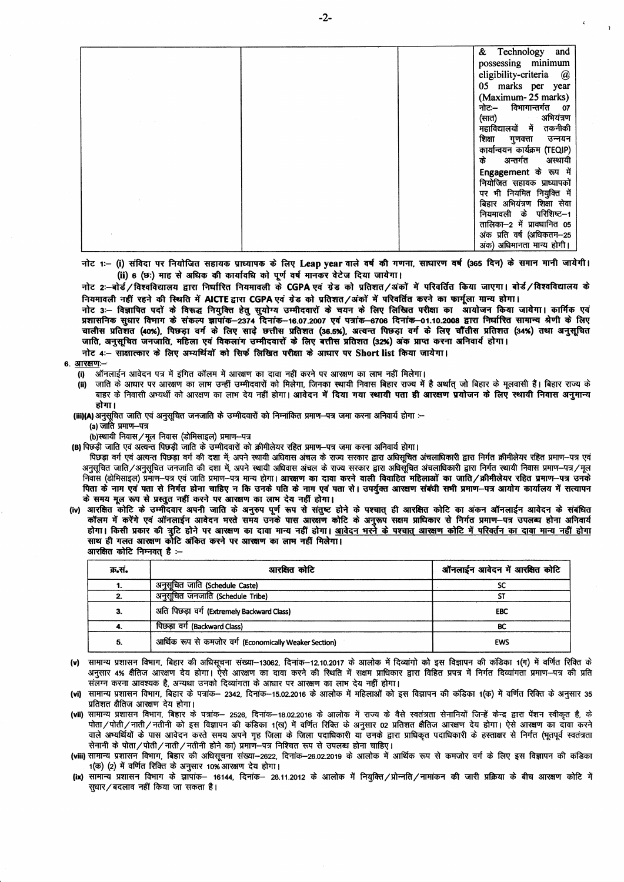|  | & Technology and                                           |
|--|------------------------------------------------------------|
|  | possessing minimum                                         |
|  | eligibility-criteria @                                     |
|  | 05 marks per year                                          |
|  | (Maximum-25 marks)                                         |
|  | नोटः– विभागान्तर्गत ०७                                     |
|  | (सात) अभियंत्रण                                            |
|  | महाविद्यालयों में<br>तकनीकी                                |
|  | शिक्षा गुणवत्ता<br>उन्नयन<br>कार्यान्वयन कार्यक्रम (TEQIP) |
|  | के<br>अन्तर्गत अस्थायी                                     |
|  | Engagement के रूप में                                      |
|  | नियोजित सहायक प्राध्यापकों                                 |
|  | पर भी नियमित नियुक्ति में                                  |
|  | बिहार अभियंत्रण शिक्षा सेवा                                |
|  | नियमावली के परिशिष्ट--1                                    |
|  | तालिका–2 में प्रावधानित 05                                 |
|  | अंक प्रति वर्ष (अधिकतम-25                                  |
|  | अंक) अधिमानता मान्य होगी।                                  |

नोट 1:- (i) संविदा पर नियोजित सहायक प्राध्यापक के लिए Leap year वाले वर्ष की गणना, साधारण वर्ष (365 दिन) के समान मानी जायेगी। (ii) 6 (छः) माह से अधिक की कार्यावधि को पूर्ण वर्ष मानकर वेटेज दिया जायेगा।

नोट 2:-बोर्ड/विश्वविद्यालय द्वारा निर्धारित नियमावली के CGPA एवं ग्रेड को प्रतिशत/अंकों में परिवर्तित किया जाएगा। बोर्ड/विश्वविद्यालय के नियमावली नहीं रहने की स्थिति में AICTE द्वारा CGPA एवं ग्रेड को प्रतिशत/अंकों में परिवर्तित करने का फार्मूला मान्य होगा।

नोट 3:- विज्ञापित पदों के विरूद्ध नियुक्ति हेतु सुयोग्य उम्मीदवारों के चयन के लिए लिखित परीक्षा का आयोजन किया जायेगा। कार्मिक एवं प्रशासनिक सुधार विमाग के संकल्प ज्ञापांक–2374 दिनांक–16.07.2007 एवं पत्रांक–6706 दिनांक–01.10.2008 द्वारा निर्धारित सामान्य श्रेणी के लिए चालीस प्रतिशत (40%), पिछड़ा वर्ग के लिए साढ़े छत्तीस प्रतिशत (36.5%), अत्यन्त पिछड़ा वर्ग के लिए चौंतीस प्रतिशत (34%) तथा अनुसूचित जाति, अनुसूचित जनजाति, महिला एवं विकलांग उम्मीदवारों के लिए बत्तीस प्रतिशत (32%) अंक प्राप्त करना अनिवार्य होगा।

नोट 4:- साक्षात्कार के लिए अभ्यर्थियों को सिर्फ लिखित परीक्षा के आधार पर Short list किया जायेगा।

6. आरक्षणः-

ऑनलाईन आवेदन पत्र में इंगित कॉलम में आरक्षण का दावा नहीं करने पर आरक्षण का लाभ नहीं मिलेगा।  $(i)$ 

जाति के आधार पर आरक्षण का लाभ उन्हीं उम्मीदवारों को मिलेगा, जिनका स्थायी निवास बिहार राज्य में है अर्थात् जो बिहार के मूलवासी हैं। बिहार राज्य के  $(ii)$ बाहर के निवासी अभ्यर्थी को आरक्षण का लाभ देय नहीं होगा। **आवेदन में दिया गया स्थायी पता ही आरक्षण प्रयोजन के लिए स्थायी निवास अनुमान्य** होगा।

(iii)(A) अनुसूचित जाति एवं अनुसूचित जनजाति के उम्मीदवारों को निम्नांकित प्रमाण—पत्र जमा करना अनिवार्य होगा :--

(a) जाति प्रमाण-पत्र

(b)स्थायी निवास/मूल निवास (डोमिसाइल) प्रमाण-पत्र

(B) पिछड़ी जाति एवं अत्यन्त पिछड़ी जाति के उम्मीदवारों को क्रीमीलेयर रहित प्रमाण–पत्र जमा करना अनिवार्य होगा।

पिछड़ा वर्ग एवं अत्यन्त पिछड़ा वर्ग की दशा में; अपने स्थायी अधिवास अंचल के राज्य सरकार द्वारा अधिसूचित अंचलाधिकारी द्वारा निर्गत क्रीमीलेयर रहित प्रमाण-पत्र एवं अनुसूचित जाति/अनुसूचित जनजाति की दशा में, अपने स्थायी अधिवास अंचल के राज्य सरकार द्वारा अधिसुचित अंचलाधिकारी द्वारा निर्गत स्थायी निवास प्रमाण–पत्र/मूल निवास (डोमिसाइल) प्रमाण-पत्र एवं जाति प्रमाण-पत्र मान्य होगा। आरक्षण का दावा करने वाली विवाहित महिलाओं का जाति/क्रीमीलेयर रहित प्रमाण-पत्र उनके पिता के नाम एवं पता से निर्गत होना चाहिए न कि उनके पति के नाम एवं पता से। उपर्युक्त आरक्षण संबंधी सभी प्रमाण–पत्र आयोग कार्यालय में सत्यापन के समय मूल रूप से प्रस्तुत नहीं करने पर आरक्षण का लाभ देय नहीं होगा।

iv) आरक्षित कोटि के उम्मीदवार अपनी जाति के अनुरुप पूर्ण रूप से संतुष्ट होने के पश्चात् ही आरक्षित कोटि का अंकन ऑनलाईन आवेदन के संबंधित<br>कॉलम में करेंगे एवं ऑनलाईन आवेदन मरते समय उनके पास आरक्षण कोटि के अनुरूप सक्षम प्राधिक होगा। किसी प्रकार की त्रुटि होने पर आरक्षण का दावा मान्य नहीं होगा। <u>आवेदन भरने के पश्चात् आरक्षण कोटि में परिवर्तन का दावा मान्य नहीं होगा</u> साथ ही गलत आरक्षण कोटि अंकित करने पर आरक्षण का लाम नहीं मिलेगा। आरक्षित कोटि निम्नवत् है :--

| क्र.सं. | आरक्षित कोटि                                           | ऑनलाईन आवेदन में आरक्षित कोटि |
|---------|--------------------------------------------------------|-------------------------------|
|         | अनुसूचित जाति (Schedule Caste)                         | SC                            |
| 2.      | अनुसूचित जनजाति (Schedule Tribe)                       | SΤ                            |
| 3.      | अति पिछड़ा वर्ग (Extremely Backward Class)             | EBC                           |
| 4.      | पिछड़ा वर्ग (Backward Class)                           | BC                            |
| 5.      | आर्थिक रूप से कमजोर वर्ग (Economically Weaker Section) | <b>EWS</b>                    |

- (v) सामान्य प्रशासन विभाग, बिहार की अधिसूचना संख्या-13062, दिनांक-12.10.2017 के आलोक में दिव्यांगो को इस विज्ञापन की कंडिका 1(ग) में वर्णित रिक्ति के अनुसार 4% क्षैतिज आरक्षण देय होगा। ऐसे आरक्षण का दावा करने की स्थिति में सक्षम प्राधिकार द्वारा विहित प्रपत्र में निर्गत दिव्यांगता प्रमाण—पत्र की प्रति संलग्न करना आवश्यक है, अन्यथा उनको दिव्यांगता के आधार पर आरक्षण का लाभ देय नहीं होगा।
- सामान्य प्रशासन विभाग, बिहार के पत्रांक— 2342, दिनांक—15.02.2016 के आलोक में महिलाओं को इस विज्ञापन की कंडिका 1(क) में वर्णित रिक्ति के अनुसार 35 (vi) प्रतिशत क्षैतिज आरक्षण देय होगा।
- (vii) सामान्य प्रशासन विभाग, बिहार के पत्रांक– 2526, दिनांक–18.02.2016 के आलोक में राज्य के वैसे स्वतंत्रता सेनानियों जिन्हें केन्द्र द्वारा पेंशन स्वीकृत है, के पोता/पोती/नाती/नतीनी को इस विज्ञापन की कंडिका 1(ख) में वर्णित रिक्ति के अनुसार 02 प्रतिशत क्षैतिज आरक्षण देय होगा। ऐसे आरक्षण का दावा करने वाले अम्यर्थियों के पास आवेदन करते समय अपने गृह जिला के जिला पदाधिकारी या उनके द्वारा प्राधिकृत पदाधिकारी के हस्ताक्षर से निर्गत (मूतपूर्व स्वतंत्रता सेनानी के पोता/पोती/नाती/नतीनी होने का) प्रमाण-पत्र निश्चित रूप से उपलब्ध होना चाहिए।
- (viii) सामान्य प्रशासन विभाग, बिहार की अधिसूचना संख्या–2622, दिनांक–26.02.2019 के आलोक में आर्थिक रूप से कमजोर वर्ग के लिए इस विज्ञापन की कडिका 1(क) (2) में वर्णित रिक्ति के अनुसार 10% आरक्षण देय होगा।
- सामान्य प्रशासन विभाग के ज्ञापांक— 16144, दिनांक— 28.11.2012 के आलोक में नियुक्ति/प्रोन्नति/नामांकन की जारी प्रक्रिया के बीच आरक्षण कोटि में (ix) सुधार/बदलाव नहीं किया जा सकता है।

 $-2-$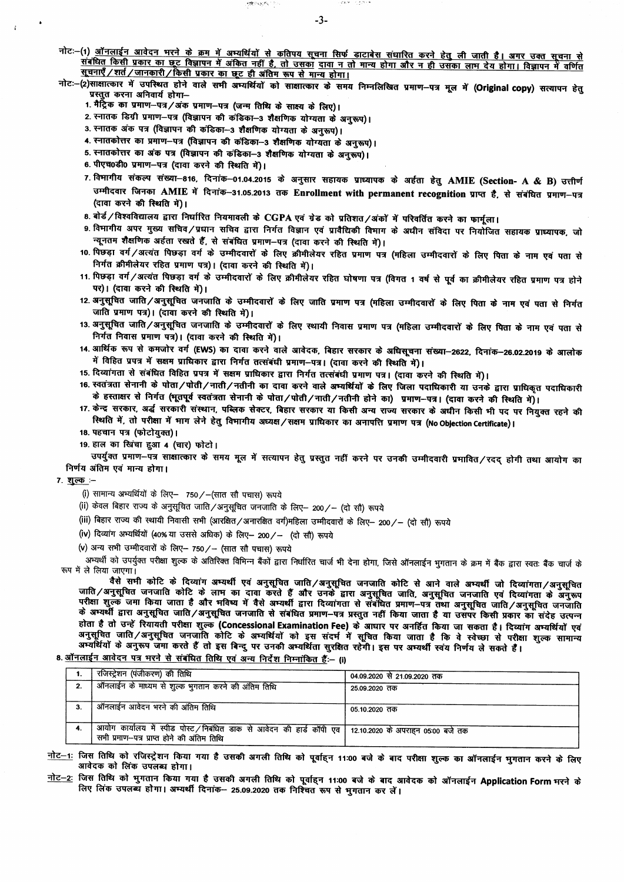- नोटः–(1) <u>ऑनलाईन आवेदन मरने के क्रम में अभ्यर्थियों से कतिपय सूचना सिर्फ डाटाबेस संधारित करने हेतु ली जाती है। अगर उक्त सूचना से<br>संबंधित किसी प्रकार का छूट विज्ञापन में अंकित नहीं है, तो उसका दावा न तो मान्य होगा और न ही </u> सूचनाएँ /शर्त / जानकारी / किसी प्रकार का छूट ही अंतिम रूप से मान्य होगा।
- नोटः–(2)साक्षात्कार में उपस्थित होने वाले सभी अम्यर्थियों को साक्षात्कार के समय निम्नलिखित प्रमाण–पत्र मूल में (Original copy) सत्यापन हेतु प्रस्तुत करना अनिवार्य होगा-
	- 1. मैट्रिक का प्रमाण-पत्र/अंक प्रमाण-पत्र (जन्म तिथि के साक्ष्य के लिए)।
	- 2. स्नातक डिग्री प्रमाण-पत्र (विज्ञापन की कंडिका-3 शैक्षणिक योग्यता के अनुरूप)।
	- 3. स्नातक अंक पत्र (विज्ञापन की कंडिका-3 शैक्षणिक योग्यता के अनुरूप)।
	- 4. स्नातकोत्तर का प्रमाण-पत्र (विज्ञापन की कंडिका-3 शैक्षणिक योग्यता के अनुरूप)।

 $\label{eq:reduced} \sup_{\mathbf{y}\in\mathbb{R}}\mathbb{E}[\mathbf{y}(\mathbf{y},\mathbf{y}^{\mathbf{y}}_{\mathbf{y}})-\mathbb{E}(\mathbf{y})]$ 

- 5. स्नातकोत्तर का अंक पत्र (विज्ञापन की कंडिका-3 शैक्षणिक योग्यता के अनुरूप)।
- 6. पीएच0डी0 प्रमाण-पत्र (दावा करने की स्थिति में)।
- 7. विमागीय संकल्प संख्या-816, दिनांक-01.04.2015 के अनुसार सहायक प्राध्यापक के अर्हता हेतु AMIE (Section- A & B) उत्तीर्ण उम्मीदवार जिनका AMIE में दिनांक-31.05.2013 तक Enrollment with permanent recognition प्राप्त है, से संबंधित प्रमाण-पत्र (दावा करने की स्थिति में)।
- 8. बोर्ड / विश्वविद्यालय द्वारा निर्धारित नियमावली के CGPA एवं ग्रेड को प्रतिशत / अंकों में परिवर्तित करने का फार्मुला।
- 9. विमागीय अपर मुख्य सचिव/प्रधान सचिव द्वारा निर्गत विज्ञान एवं प्रावैद्यिकी विमाग के अधीन संविदा पर नियोजित सहायक प्राध्यापक, जो न्यूनतम शैक्षणिक अर्हता रखते हैं, से संबंधित प्रमाण-पत्र (दावा करने की स्थिति में)।
- 10. पिछड़ा वर्ग/अत्यंत पिछड़ा वर्ग के उम्मीदवारों के लिए क्रीमीलेयर रहित प्रमाण पत्र (महिला उम्मीदवारों के लिए पिता के नाम एवं पता से निर्गत क्रीमीलेयर रहित प्रमाण पत्र)। (दावा करने की स्थिति में)।
- 11. पिछड़ा वर्ग/अत्यंत पिछड़ा वर्ग के उम्मीदवारों के लिए क्रीमीलेयर रहित घोषणा पत्र (विगत 1 वर्ष से पूर्व का क्रीमीलेयर रहित प्रमाण पत्र होने पर)। (दावा करने की स्थिति में)।
- 12. अनुसूचित जाति/अनुसूचित जनजाति के उम्मीदवारों के लिए जाति प्रमाण पत्र (महिला उम्मीदवारों के लिए पिता के नाम एवं पता से निर्गत जाति प्रमाण पत्र)। (दावा करने की स्थिति में)।
- 13. अनुसूचित जाति/अनुसूचित जनजाति के उम्मीदवारों के लिए स्थायी निवास प्रमाण पत्र (महिला उम्मीदवारों के लिए पिता के नाम एवं पता से निर्गत निवास प्रमाण पत्र)। (दावा करने की स्थिति में)।
- 14. आर्थिक रूप से कमजोर वर्ग (EWS) का दावा करने वाले आवेदक, बिहार सरकार के अधिसूचना संख्या-2622, दिनांक-26.02.2019 के आलोक में विहित प्रपत्र में सक्षम प्राधिकार द्वारा निर्गत तत्संबंधी प्रमाण-पत्र। (दावा करने की स्थिति में)।
- 15. दिव्यांगता से संबंधित विहित प्रपत्र में सक्षम प्राधिकार द्वारा निर्गत तत्संबंधी प्रमाण पत्र। (दावा करने की स्थिति में)।
- 16. स्वतंत्रता सेनानी के पोता/पोती/नाती/नतीनी का दावा करने वाले अभ्यर्थियों के लिए जिला पदाधिकारी या उनके द्वारा प्राधिकृत पदाधिकारी के हस्ताक्षर से निर्गत (मूतपूर्व स्वतंत्रता सेनानी के पोता/पोती/नाती/नतीनी होने का) प्रमाण-पत्र। (दावा करने की स्थिति में)।
- 17. केन्द्र सरकार, अर्द्ध सरकारी संस्थान, पब्लिक सेक्टर, बिहार सरकार या किसी अन्य राज्य सरकार के अधीन किसी भी पद पर नियुक्त रहने की स्थिति में, तो परीक्षा में माग लेने हेतु विभागीय अध्यक्ष/सक्षम प्राधिकार का अनापत्ति प्रमाण पत्र (No Objection Certificate)।
- 18. पहचान पत्र (फोटोयुक्त)।
- 19. हाल का खिंचा हुआ 4 (चार) फोटो।

उपर्युक्त प्रमाण-पत्र साक्षात्कार के समय मूल में सत्यापन हेतु प्रस्तुत नहीं करने पर उनकी उम्मीदवारी प्रमावित/रदद् होगी तथा आयोग का निर्णय अंतिम एवं मान्य होगा।

7. शुल्क :-

 $\ddot{i}$ 

- (i) सामान्य अभ्यर्थियों के लिए- 750/-(सात सौ पचास) रूपये
- (ii) केवल बिहार राज्य के अनुसूचित जाति/अनुसूचित जनजाति के लिए– 200/– (दो सौ) रूपये
- (iii) बिहार राज्य की स्थायी निवासी सभी (आरक्षित / अनारक्षित वर्ग)महिला उम्मीदवारों के लिए– 200 /– (दो सौ) रूपये
- (iv) दिव्यांग अभ्यर्थियों (40% या उससे अधिक) के लिए- 200/- (दो सौ) रूपये
- (v) अन्य सभी उम्मीदवारों के लिए- 750/- (सात सौ पचास) रूपये

अभ्यर्थी को उपर्युक्त परीक्षा शुल्क के अतिरिक्त विभिन्न बैंकों द्वारा निर्धारित चार्ज भी देना होगा, जिसे ऑनलाईन भुगतान के क्रम में बैंक द्वारा स्वतः बैंक चार्ज के रूप में ले लिया जाएगा।

वैसे सभी कोटि के दिव्यांग अभ्यर्थी एवं अनुसूचित जाति/अनुसूचित जनजाति कोटि से आने वाले अभ्यर्थी जो दिव्यांगता/अनुसूचित जाति / अनुसूचित जनजाति कोटि के लाम का दावा करते हैं और उनके द्वारा अनुसूचित जाति, अनुसूचित जनजाति एवं दिव्यांगता के अनुरूप परीक्षा शुल्के जमा किया जाता है और भविष्य में वैसे अम्यर्थी द्वारा दिव्यांगता से संबंधित प्रमाण-पत्र तथा अनुसूचित जाति/अनुसूचित जनजाति होता है तो उन्हें रियायती परीक्षा शुल्क (Concessional Examination Fee) के आधार पर अनहिंत किया जा सकता है। दिव्यांग अम्यर्थियों एवं अनुसूचित जाति/अनुसूचित जनजाति कोटि के अभ्यर्थियों को इस संदर्भ में सूचित किया जाता है कि वे स्वेच्छा से परीक्षा शुल्क सामान्य 

| ा.ऑनलाईन आवेदन पत्र भरने से संबंधित तिथि एवं अन्य निर्देश निम्नांकित हैं:-- (i) |  |
|---------------------------------------------------------------------------------|--|
|---------------------------------------------------------------------------------|--|

| रजिस्ट्रेशन (पंजीकरण) की तिथि                                                                                                                           | 04.09.2020 से 21.09.2020 तक |
|---------------------------------------------------------------------------------------------------------------------------------------------------------|-----------------------------|
| ऑनलाईन के माध्यम से शुल्क भुगतान करने की अंतिम तिथि                                                                                                     | 25.09.2020 तक               |
|                                                                                                                                                         |                             |
| ऑनलाईन आवेदन भरने की अंतिम तिथि                                                                                                                         | 05.10.2020 तक               |
|                                                                                                                                                         |                             |
| आयोग कार्यालय में स्पीड पोस्ट / निबंधित डाक से आवेदन की हार्ड कॉपी एव   12.10.2020 के अपराहन 05:00 बजे तक<br>सभी प्रमाण-पत्र प्राप्त होने की अंतिम तिथि |                             |

<u>नोट–1:</u> जिस तिथि को रजिस्ट्रेशन किया गया है उसकी अगली तिथि को पूर्वाहन 11:00 बजे के बाद परीक्षा शुल्क का ऑनलाईन मुगतान करने के लिए आवेदक को लिंक उपलब्ध होगा।

<u>नोट–2:</u> जिस तिथि को भुगतान किया गया है उसकी अगली तिथि को पूर्वाहन 11:00 बजे के बाद आवेदक को ऑनलाईन Application Form मरने के लिए लिंक उपलब्ध होगा। अभ्यर्थी दिनांक- 25.09.2020 तक निश्चित रूप से भुगतान कर लें।

onari ingini p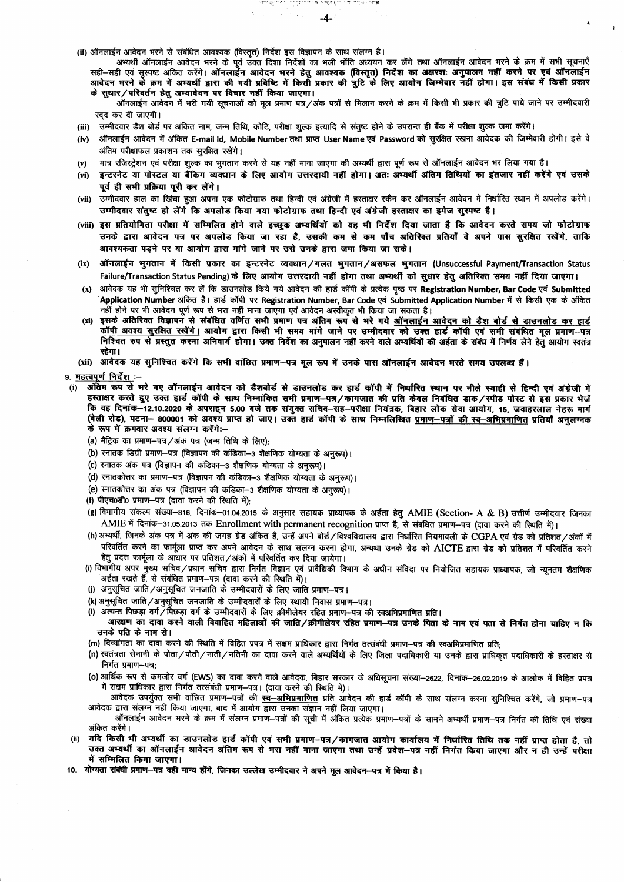(ii) ऑनलाईन आवेदन भरने से संबंधित आवश्यक (विस्तृत) निर्देश इस विज्ञापन के साथ संलग्न है।

अभ्यर्थी ऑनलाईन आवेदन भरने के पूर्व उक्त दिशा निर्देशों का भली भाँति अध्ययन कर लेंगे तथा ऑनलाईन आवेदन भरने के क्रम में सभी सूचनाएँ सही-सही एवं सुस्पष्ट अंकित करेंगे। ऑनलाईन आवेदन भरने हेतु आवश्यक (विस्तृत) निर्देश का अक्षरशः अनुपालन नहीं करने पर एवं ऑनलाईन आवेदन भरने के क्रम में अभ्यर्थी द्वारा की गयी प्रविष्टि में किसी प्रकार की त्रूटि के लिए आयोग जिम्मेवार नहीं होगा। इस संबंध में किसी प्रकार

والمكافرة كالمستقبل والمسالة بهائها والمستقبل والمستقبل المتحا والأصفاء  $-4-$ 

के सुधार/परिवर्तन हेतु अभ्यावेदन पर विचार नहीं किया जाएगा। ऑनलाईन आवेदन में भरी गयी सूचनाओं को मूल प्रमाण पत्र/अंक पत्रों से मिलान करने के क्रम में किसी भी प्रकार की त्रूटि पाये जाने पर उम्मीदवारी रदद कर दी जाएगी।

(iii) ) उम्मीदवार डैश बोर्ड पर अंकित नाम, जन्म तिथि, कोटि, परीक्षा शुल्क इत्यादि से संतुष्ट होने के उपरान्त ही बैंक में परीक्षा शुल्क जमा करेंगे।

- (iv) ऑनलाईन आवेदन में अंकित E-mail Id, Mobile Number तथा प्राप्त User Name एवं Password को सुरक्षित रखना आवेदक की जिम्मेवारी होगी। इसे वे अंतिम परीक्षाफल प्रकाशन तक सरक्षित रखेंगे।
- मात्र रजिस्टेशन एवं परीक्षा शुल्क का भगतान करने से यह नहीं माना जाएगा की अभ्यर्थी द्वारा पूर्ण रूप से ऑनलाईन आवेदन भर लिया गया है।  $(v)$
- इन्टरनेट या पोस्टल या बैंकिंग व्यवघान के लिए आयोग उत्तरदायी नहीं होगा। अतः अभ्यर्थी अंतिम तिथियों का इंतजार नहीं करेंगे एवं उसके  $(vi)$ पूर्व ही सभी प्रक्रिया पूरी कर लेंगे।
- (vii) उम्मीदवार हाल का खिंचा हुआ अपना एक फोटोग्राफ तथा हिन्दी एवं अंग्रेजी में हस्ताक्षर स्कैन कर ऑनलाईन आवेदन में निर्धारित स्थान में अपलोड करेंगे। उम्मीदवार संतुष्ट हो लेंगे कि अपलोड किया गया फोटोग्राफ तथा हिन्दी एवं अंग्रेजी हस्ताक्षर का इमेज सुस्पष्ट है।
- (viii) इस प्रतियोगिता परीक्षा में सम्मिलित होने वाले इच्छक अभ्यर्थियों को यह भी निर्देश दिया जाता है कि आवेदन करते समय जो फोटोग्राफ उनके द्वारा आवेदन पत्र पर अपलोड किया जा रहा है, उसकी कम से कम पाँच अतिरिक्त प्रतियाँ वे अपने पास सुरक्षित रखेंगे, ताकि आवश्यकता पड़ने पर या आयोग द्वारा मांगे जाने पर उसे उनके द्वारा जमा किया जा सके।
- (ix) ऑनलाईन भुगतान में किसी प्रकार का इन्टरनेट व्यवधान/गलत भुगतान/असफल भुगतान (Unsuccessful Payment/Transaction Status Failure/Transaction Status Pending) के लिए आयोग उत्तरदायी नहीं होगा तथा अभ्यर्थी को सुधार हेतु अतिरिक्त समय नहीं दिया जाएगा।
- (x) आवेदक यह भी सुनिश्चित कर लें कि डाउनलोड किये गये आवेदन की हार्ड कॉपी के प्रत्येक पृष्ठ पर Registration Number, Bar Code एवं Submitted Application Number अंकित है। हार्ड कॉपी पर Registration Number, Bar Code एवं Submitted Application Number में से किसी एक के अंकित .<br>नहीं होने पर भी आवेदन पूर्ण रूप से भरा नहीं माना जॉएगा एवं आवेदन अस्वीकृत भी किया जा सकता है।
- इसके अतिरिक्त विज्ञापन से संबंधित वर्णित सभी प्रमाण पत्र अंतिम रूप से भरे गये <u>ऑनलाईन आवेदन को डैश बोर्ड से डाउनलोड कर हार्ड</u>  $(xi)$ कॉपी अवश्य सुरक्षित रखेंगे। आयोग द्वारा किसी भी समय मांगे जाने पर उम्मीदवार को उक्त हार्ड कॉपी एवं सभी संबंधित मूल प्रमाण-पत्र निश्चित रुप से प्रस्तुत करना अनिवार्य होगा। उक्त निर्देश का अनुपालन नहीं करने वाले अम्यर्थियों की अईता के संबंध में निर्णय लेने हेतु आयोग स्वतंत्र रहेगा।
- (xii) आवेदक यह सुनिश्चित करेंगे कि सभी वांछित प्रमाण-पत्र मूल रूप में उनके पास ऑनलाईन आवेदन भरते समय उपलब्ध हैं।

## 9. महत्वपूर्ण निर्देश :-

- अंतिम रूप से भरे गए ऑनलाईन आवेदन को डैशबोर्ड से डाउनलोड कर हार्ड कॉपी में निर्धारित स्थान पर नीले स्याही से हिन्दी एवं अंग्रेजी में  $(i)$ हस्ताक्षर करते हुए उक्त हार्ड कॉपी के साथ निम्नांकित सभी प्रमाण-पत्र/कागजात की प्रति केवल निबंधित डाक/स्पीड पोस्ट से इस प्रकार भेजें कि वह दिनांक-12.10.2020 के अपराहन 5.00 बजे तक संयुक्त सचिव-सह-परीक्षा नियंत्रक, बिहार लोक सेवा आयोग, 15, जवाहरलाल नेहरू मार्ग के रूप में क्रमवार अवश्य संलग्न करेंगे:--
	- (a) मैट्रिक का प्रमाण-पत्र/अंक पत्र (जन्म तिथि के लिए);
	- (b) स्नातक डिग्री प्रमाण-पत्र (विज्ञापन की कंडिका-3 शैक्षणिक योग्यता के अनुरूप)।
	- (c) स्नातक अंक पत्र (विज्ञापन की कंडिका-3 शैक्षणिक योग्यता के अनुरूप)।
	- (d) स्नातकोत्तर का प्रमाण-पत्र (विज्ञापन की कंडिका-3 शैक्षणिक योग्यता के अनुरूप)।
	- (e) स्नातकोत्तर का अंक पत्र (विज्ञापन की कंडिका-3 शैक्षणिक योग्यता के अनुरूप)।
	- (f) पीएच0डी0 प्रमाण-पत्र (दावा करने की स्थिति में):
	- (g) विभागीय संकल्प संख्या–816, दिनांक–01.04.2015 के अनुसार सहायक प्राध्यापक के अर्हता हेतु AMIE (Section- A & B) उत्तीर्ण उम्मीदवार जिनका AMIE में दिनांक-31.05.2013 तक Enrollment with permanent recognition प्राप्त है, से संबंधित प्रमाण-पत्र (दावा करने की स्थिति में)।
	- (h) अभ्यर्थी, जिनके अंक पत्र में अंक की जगह ग्रेड अंकित है, उन्हें अपने बोर्ड/विश्वविद्यालय द्वारा निर्धारित नियमावली के CGPA एवं ग्रेड को प्रतिशत/अंकों में परिवर्तित करने का फार्मूला प्राप्त कर अपने आवेदन के साथ संलग्न करना होगा, अन्यथा उनके ग्रेड को AICTE द्वारा ग्रेड को प्रतिशत में परिवर्तित करने हेतु प्रदत्त फार्मूला के आधार पर प्रतिशत/अंकों में परिवर्तित कर दिया जायेगा।
	- (i) विभागीय अपर मुख्य सचिव/प्रधान सचिव द्वारा निर्गत विज्ञान एवं प्रावैद्यिकी विभाग के अधीन संविदा पर नियोजित सहायक प्राध्यापक, जो न्यूनतम शैक्षणिक अर्हता रखते हैं, से संबंधित प्रमाण-पत्र (दावा करने की स्थिति में)।
	- (j) अनुसूचित जाति/अनुसूचित जनजाति के उम्मीदवारों के लिए जाति प्रमाण-पत्र।
	- (k) अनुसूचित जाति / अनुसूचित जनजाति के उम्मीदवारों के लिए स्थायी निवास प्रमाण-पत्र।
	- (I) अत्यन्त पिछड़ा वर्ग/पिछड़ा वर्ग के उम्मीदवारों के लिए क्रीमीलेयर रहित प्रमाण-पत्र की स्वअभिप्रमाणित प्रति।
	- आरक्षण का दावा करने वाली विवाहित महिलाओं की जाति/क्रीमीलेयर रहित प्रमाण-पत्र उनके पिता के नाम एवं पता से निर्गत होना चाहिए न कि उनके पति के नाम से।
	- (m) दिव्यांगता का दावा करने की स्थिति में विहित प्रपत्र में सक्षम प्राधिकार द्वारा निर्गत तत्संबंधी प्रमाण—पत्र की स्वअभिप्रमाणित प्रति:
	- (n) स्वतंत्रता सेनानी के पोता/पोती/नाती/नतिनी का दावा करने वाले अभ्यर्थियों के लिए जिला पदाधिकारी या उनके द्वारा प्राधिकृत पदाधिकारी के हस्ताक्षर से निर्गत प्रमाण–पत्र:
	- (o) आर्थिक रूप से कमजोर वर्ग (EWS) का दावा करने वाले आवेदक, बिहार सरकार के अधिसूचना संख्या-2622, दिनांक-26.02.2019 के आलोक में विहित प्रपत्र में सक्षम प्राधिकार द्वारा निर्गत तत्संबंधी प्रमाण-पत्र। (दावा करने की स्थिति में)।
	- आवेदक उपर्युक्त सभी वांछित प्रमाण–पत्रों की <u>स्व—अभिप्रमाणित</u> प्रति आवेदन की हार्ड कॉपी के साथ संलग्न करना सुनिश्चित करेंगे, जो प्रमाण–पत्र आवेदक द्वारा संलग्न नहीं किया जाएगा, बाद में आयोग द्वारा उनका संज्ञान नहीं लिया जाएगा।
	- ऑनलाईन आवेदन भरने के क्रम में संलग्न प्रमाण–पत्रों की सूची में अंकित प्रत्येक प्रमाण–पत्रों के सामने अभ्यर्थी प्रमाण–पत्र निर्गत की तिथि एवं संख्या अंकित करेंगे।
- $(ii)$ यदि किसी भी अभ्यर्थी का डाउनलोड हार्ड कॉपी एवं सभी प्रमाण-पत्र/कागजात आयोग कार्यालय में निर्घारित तिथि तक नहीं प्राप्त होता है, तो उक्त अम्यर्थी का ऑनलाईन आवेदन अंतिम रूप से भरा नहीं माना जाएगा तथा उन्हें प्रवेश-पत्र नहीं निर्गत किया जाएगा और न ही उन्हें परीक्षा में सम्मिलित किया जाएगा।
- 10. योग्यता संबंधी प्रमाण—पत्र वही मान्य होंगे, जिनका उल्लेख उम्मीदवार ने अपने मूल आवेदन—पत्र में किया है।